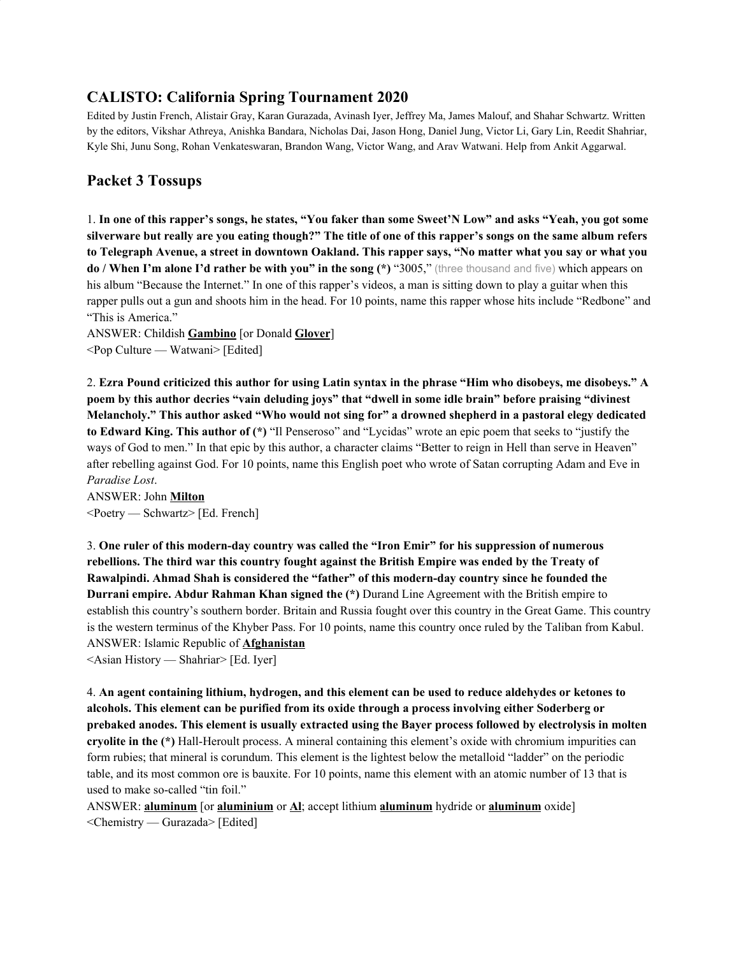# **CALISTO: California Spring Tournament 2020**

Edited by Justin French, Alistair Gray, Karan Gurazada, Avinash Iyer, Jeffrey Ma, James Malouf, and Shahar Schwartz. Written by the editors, Vikshar Athreya, Anishka Bandara, Nicholas Dai, Jason Hong, Daniel Jung, Victor Li, Gary Lin, Reedit Shahriar, Kyle Shi, Junu Song, Rohan Venkateswaran, Brandon Wang, Victor Wang, and Arav Watwani. Help from Ankit Aggarwal.

# **Packet 3 Tossups**

1. In one of this rapper's songs, he states, "You faker than some Sweet'N Low" and asks "Yeah, you got some silverware but really are you eating though?" The title of one of this rapper's songs on the same album refers to Telegraph Avenue, a street in downtown Oakland. This rapper says, "No matter what you say or what you **do / When I'm alone I'd rather be with you" in the song (\*)** "3005," (three thousand and five) which appears on his album "Because the Internet." In one of this rapper's videos, a man is sitting down to play a guitar when this rapper pulls out a gun and shoots him in the head. For 10 points, name this rapper whose hits include "Redbone" and "This is America."

ANSWER: Childish **Gambino** [or Donald **Glover**] <Pop Culture — Watwani> [Edited]

2. Ezra Pound criticized this author for using Latin syntax in the phrase "Him who disobeys, me disobeys." A poem by this author decries "vain deluding joys" that "dwell in some idle brain" before praising "divinest **Melancholy." This author asked "Who would not sing for" a drowned shepherd in a pastoral elegy dedicated to Edward King. This author of (\*)** "Il Penseroso" and "Lycidas" wrote an epic poem that seeks to "justify the ways of God to men." In that epic by this author, a character claims "Better to reign in Hell than serve in Heaven" after rebelling against God. For 10 points, name this English poet who wrote of Satan corrupting Adam and Eve in *Paradise Lost*.

ANSWER: John **Milton** <Poetry — Schwartz> [Ed. French]

3. **One ruler of this modern-day country was called the "Iron Emir" for his suppression of numerous rebellions. The third war this country fought against the British Empire was ended by the Treaty of Rawalpindi. Ahmad Shah is considered the "father" of this modern-day country since he founded the Durrani empire. Abdur Rahman Khan signed the (\*)** Durand Line Agreement with the British empire to establish this country's southern border. Britain and Russia fought over this country in the Great Game. This country is the western terminus of the Khyber Pass. For 10 points, name this country once ruled by the Taliban from Kabul. ANSWER: Islamic Republic of **Afghanistan**

<Asian History — Shahriar> [Ed. Iyer]

4. **An agent containing lithium, hydrogen, and this element can be used to reduce aldehydes or ketones to alcohols. This element can be purified from its oxide through a process involving either Soderberg or prebaked anodes. This element is usually extracted using the Bayer process followed by electrolysis in molten cryolite in the (\*)** Hall-Heroult process. A mineral containing this element's oxide with chromium impurities can form rubies; that mineral is corundum. This element is the lightest below the metalloid "ladder" on the periodic table, and its most common ore is bauxite. For 10 points, name this element with an atomic number of 13 that is used to make so-called "tin foil."

ANSWER: **aluminum** [or **aluminium** or **Al**; accept lithium **aluminum** hydride or **aluminum** oxide] <Chemistry — Gurazada> [Edited]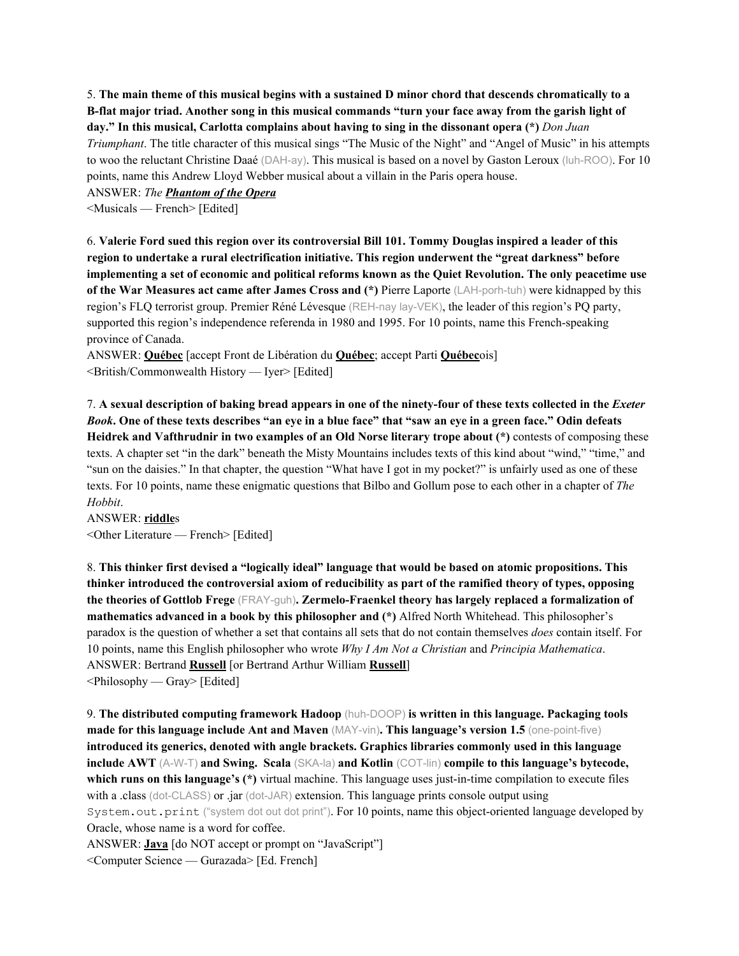5. The main theme of this musical begins with a sustained D minor chord that descends chromatically to a B-flat major triad. Another song in this musical commands "turn your face away from the garish light of **day." In this musical, Carlotta complains about having to sing in the dissonant opera (\*)** *Don Juan Triumphant*. The title character of this musical sings "The Music of the Night" and "Angel of Music" in his attempts to woo the reluctant Christine Daaé (DAH-ay). This musical is based on a novel by Gaston Leroux (luh-ROO). For 10 points, name this Andrew Lloyd Webber musical about a villain in the Paris opera house.

ANSWER: *The Phantom of the Opera*

<Musicals — French> [Edited]

6. **Valerie Ford sued this region over its controversial Bill 101. Tommy Douglas inspired a leader of this region to undertake a rural electrification initiative. This region underwent the "great darkness" before** implementing a set of economic and political reforms known as the Quiet Revolution. The only peacetime use **of the War Measures act came after James Cross and (\*)** Pierre Laporte (LAH-porh-tuh) were kidnapped by this region's FLQ terrorist group. Premier Réné Lévesque (REH-nay lay-VEK), the leader of this region's PQ party, supported this region's independence referenda in 1980 and 1995. For 10 points, name this French-speaking province of Canada.

ANSWER: **Québec** [accept Front de Libération du **Québec**; accept Parti **Québec**ois] <British/Commonwealth History — Iyer> [Edited]

7. A sexual description of baking bread appears in one of the ninety-four of these texts collected in the *Exeter* Book. One of these texts describes "an eve in a blue face" that "saw an eve in a green face." Odin defeats **Heidrek and Vafthrudnir in two examples of an Old Norse literary trope about (\*)** contests of composing these texts. A chapter set "in the dark" beneath the Misty Mountains includes texts of this kind about "wind," "time," and "sun on the daisies." In that chapter, the question "What have I got in my pocket?" is unfairly used as one of these texts. For 10 points, name these enigmatic questions that Bilbo and Gollum pose to each other in a chapter of *The Hobbit*.

ANSWER: **riddle**s <Other Literature — French> [Edited]

8. **This thinker first devised a "logically ideal" language that would be based on atomic propositions. This thinker introduced the controversial axiom of reducibility as part of the ramified theory of types, opposing the theories of Gottlob Frege** (FRAY-guh)**. Zermelo-Fraenkel theory has largely replaced a formalization of mathematics advanced in a book by this philosopher and (\*)** Alfred North Whitehead. This philosopher's paradox is the question of whether a set that contains all sets that do not contain themselves *does* contain itself. For 10 points, name this English philosopher who wrote *Why I Am Not a Christian* and *Principia Mathematica*. ANSWER: Bertrand **Russell** [or Bertrand Arthur William **Russell**]  $\leq$ Philosophy — Gray> [Edited]

9. **The distributed computing framework Hadoop** (huh-DOOP) **is written in this language. Packaging tools made for this language include Ant and Maven** (MAY-vin)**. This language's version 1.5** (one-point-five) **introduced its generics, denoted with angle brackets. Graphics libraries commonly used in this language include AWT** (A-W-T) **and Swing. Scala** (SKA-la) **and Kotlin** (COT-lin) **compile to this language's bytecode, which runs on this language's (\*)** virtual machine. This language uses just-in-time compilation to execute files with a .class (dot-CLASS) or .jar (dot-JAR) extension. This language prints console output using System.out.print ("system dot out dot print"). For 10 points, name this object-oriented language developed by Oracle, whose name is a word for coffee.

ANSWER: **Java** [do NOT accept or prompt on "JavaScript"]

<Computer Science — Gurazada> [Ed. French]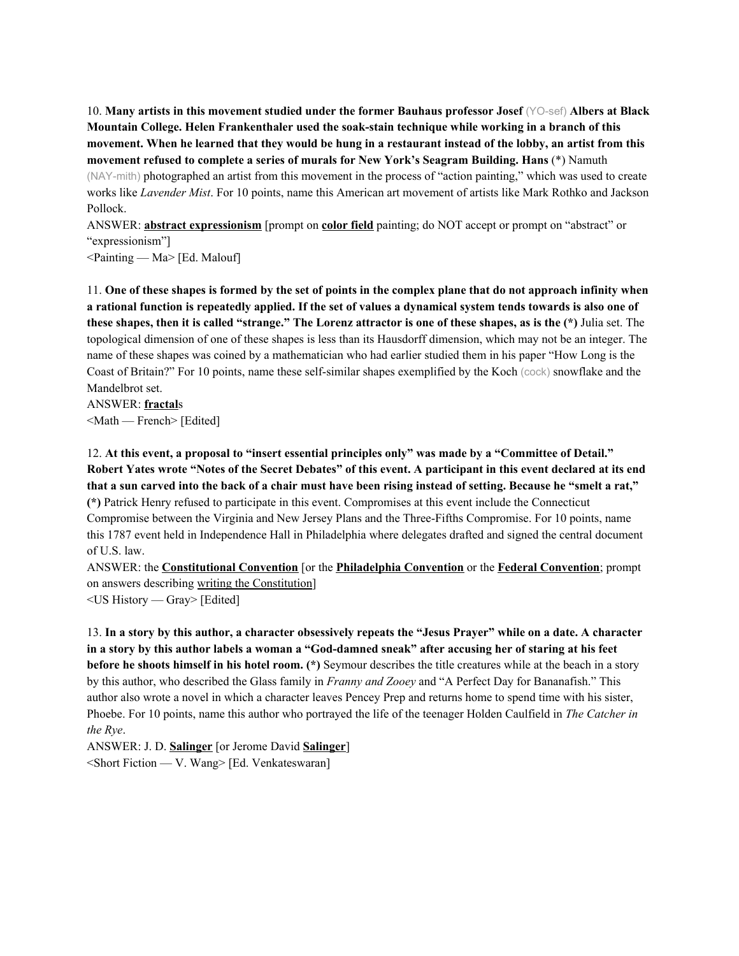10. **Many artists in this movement studied under the former Bauhaus professor Josef** (YO-sef) **Albers at Black Mountain College. Helen Frankenthaler used the soak-stain technique while working in a branch of this** movement. When he learned that they would be hung in a restaurant instead of the lobby, an artist from this **movement refused to complete a series of murals for New York's Seagram Building. Hans** (\*) Namuth (NAY-mith) photographed an artist from this movement in the process of "action painting," which was used to create works like *Lavender Mist*. For 10 points, name this American art movement of artists like Mark Rothko and Jackson Pollock.

ANSWER: **abstract expressionism** [prompt on **color field** painting; do NOT accept or prompt on "abstract" or "expressionism"]

<Painting — Ma> [Ed. Malouf]

11. One of these shapes is formed by the set of points in the complex plane that do not approach infinity when a rational function is repeatedly applied. If the set of values a dynamical system tends towards is also one of these shapes, then it is called "strange." The Lorenz attractor is one of these shapes, as is the (\*) Julia set. The topological dimension of one of these shapes is less than its Hausdorff dimension, which may not be an integer. The name of these shapes was coined by a mathematician who had earlier studied them in his paper "How Long is the Coast of Britain?" For 10 points, name these self-similar shapes exemplified by the Koch (cock) snowflake and the Mandelbrot set.

ANSWER: **fractal**s <Math — French> [Edited]

12. **At this event, a proposal to "insert essential principles only" was made by a "Committee of Detail."** Robert Yates wrote "Notes of the Secret Debates" of this event. A participant in this event declared at its end that a sun carved into the back of a chair must have been rising instead of setting. Because he "smelt a rat," **(\*)** Patrick Henry refused to participate in this event. Compromises at this event include the Connecticut Compromise between the Virginia and New Jersey Plans and the Three-Fifths Compromise. For 10 points, name this 1787 event held in Independence Hall in Philadelphia where delegates drafted and signed the central document of U.S. law.

ANSWER: the **Constitutional Convention** [or the **Philadelphia Convention** or the **Federal Convention**; prompt on answers describing writing the Constitution]

<US History — Gray> [Edited]

13. In a story by this author, a character obsessively repeats the "Jesus Prayer" while on a date. A character in a story by this author labels a woman a "God-damned sneak" after accusing her of staring at his feet **before he shoots himself in his hotel room. (\*)** Seymour describes the title creatures while at the beach in a story by this author, who described the Glass family in *Franny and Zooey* and "A Perfect Day for Bananafish." This author also wrote a novel in which a character leaves Pencey Prep and returns home to spend time with his sister, Phoebe. For 10 points, name this author who portrayed the life of the teenager Holden Caulfield in *The Catcher in the Rye*.

ANSWER: J. D. **Salinger** [or Jerome David **Salinger**]

<Short Fiction — V. Wang> [Ed. Venkateswaran]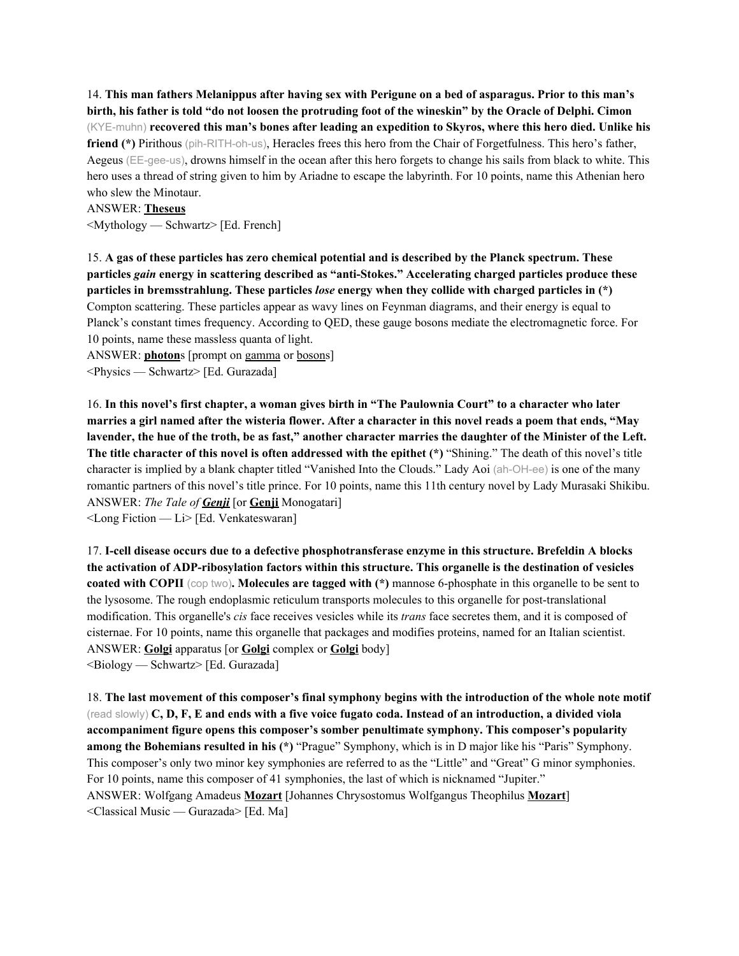14. This man fathers Melanippus after having sex with Perigune on a bed of asparagus. Prior to this man's birth, his father is told "do not loosen the protruding foot of the wineskin" by the Oracle of Delphi. Cimon (KYE-muhn) **recovered this man's bones after leading an expedition to Skyros, where this hero died. Unlike his friend (\*)** Pirithous (pih-RITH-oh-us), Heracles frees this hero from the Chair of Forgetfulness. This hero's father, Aegeus (EE-gee-us), drowns himself in the ocean after this hero forgets to change his sails from black to white. This hero uses a thread of string given to him by Ariadne to escape the labyrinth. For 10 points, name this Athenian hero who slew the Minotaur.

#### ANSWER: **Theseus**

<Mythology — Schwartz> [Ed. French]

15. **A gas of these particles has zero chemical potential and is described by the Planck spectrum. These particles** *gain* **energy in scattering described as "anti-Stokes." Accelerating charged particles produce these particles in bremsstrahlung. These particles** *lose* **energy when they collide with charged particles in (\*)** Compton scattering. These particles appear as wavy lines on Feynman diagrams, and their energy is equal to Planck's constant times frequency. According to QED, these gauge bosons mediate the electromagnetic force. For 10 points, name these massless quanta of light.

ANSWER: **photon**s [prompt on gamma or bosons] <Physics — Schwartz> [Ed. Gurazada]

16. In this novel's first chapter, a woman gives birth in "The Paulownia Court" to a character who later marries a girl named after the wisteria flower. After a character in this novel reads a poem that ends, "May lavender, the hue of the troth, be as fast," another character marries the daughter of the Minister of the Left. **The title character of this novel is often addressed with the epithet (\*)** "Shining." The death of this novel's title character is implied by a blank chapter titled "Vanished Into the Clouds." Lady Aoi (ah-OH-ee) is one of the many romantic partners of this novel's title prince. For 10 points, name this 11th century novel by Lady Murasaki Shikibu. ANSWER: *The Tale of Genji* [or **Genji** Monogatari]

<Long Fiction — Li> [Ed. Venkateswaran]

17. **I-cell disease occurs due to a defective phosphotransferase enzyme in this structure. Brefeldin A blocks the activation of ADP-ribosylation factors within this structure. This organelle is the destination of vesicles coated with COPII** (cop two)**. Molecules are tagged with (\*)** mannose 6-phosphate in this organelle to be sent to the lysosome. The rough endoplasmic reticulum transports molecules to this organelle for post-translational modification. This organelle's *cis* face receives vesicles while its *trans* face secretes them, and it is composed of cisternae. For 10 points, name this organelle that packages and modifies proteins, named for an Italian scientist. ANSWER: **Golgi** apparatus [or **Golgi** complex or **Golgi** body] <Biology — Schwartz> [Ed. Gurazada]

18. The last movement of this composer's final symphony begins with the introduction of the whole note motif (read slowly)  $C, D, F, E$  and ends with a five voice fugato coda. Instead of an introduction, a divided viola **accompaniment figure opens this composer's somber penultimate symphony. This composer's popularity among the Bohemians resulted in his (\*)** "Prague" Symphony, which is in D major like his "Paris" Symphony. This composer's only two minor key symphonies are referred to as the "Little" and "Great" G minor symphonies. For 10 points, name this composer of 41 symphonies, the last of which is nicknamed "Jupiter." ANSWER: Wolfgang Amadeus **Mozart** [Johannes Chrysostomus Wolfgangus Theophilus **Mozart**] <Classical Music — Gurazada> [Ed. Ma]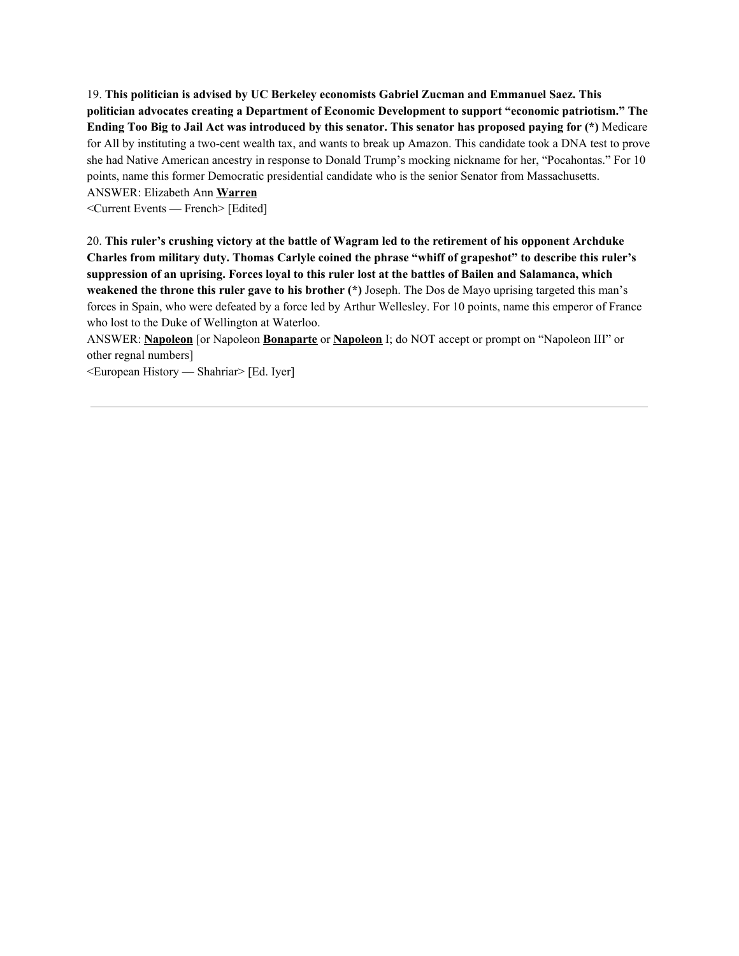19. **This politician is advised by UC Berkeley economists Gabriel Zucman and Emmanuel Saez. This politician advocates creating a Department of Economic Development to support "economic patriotism." The** Ending Too Big to Jail Act was introduced by this senator. This senator has proposed paying for (\*) Medicare for All by instituting a two-cent wealth tax, and wants to break up Amazon. This candidate took a DNA test to prove she had Native American ancestry in response to Donald Trump's mocking nickname for her, "Pocahontas." For 10 points, name this former Democratic presidential candidate who is the senior Senator from Massachusetts. ANSWER: Elizabeth Ann **Warren**

<Current Events — French> [Edited]

20. **This ruler's crushing victory at the battle of Wagram led to the retirement of his opponent Archduke Charles from military duty. Thomas Carlyle coined the phrase "whiff of grapeshot" to describe this ruler's** suppression of an uprising. Forces loval to this ruler lost at the battles of Bailen and Salamanca, which **weakened the throne this ruler gave to his brother (\*)** Joseph. The Dos de Mayo uprising targeted this man's forces in Spain, who were defeated by a force led by Arthur Wellesley. For 10 points, name this emperor of France who lost to the Duke of Wellington at Waterloo.

ANSWER: **Napoleon** [or Napoleon **Bonaparte** or **Napoleon** I; do NOT accept or prompt on "Napoleon III" or other regnal numbers]

<European History — Shahriar> [Ed. Iyer]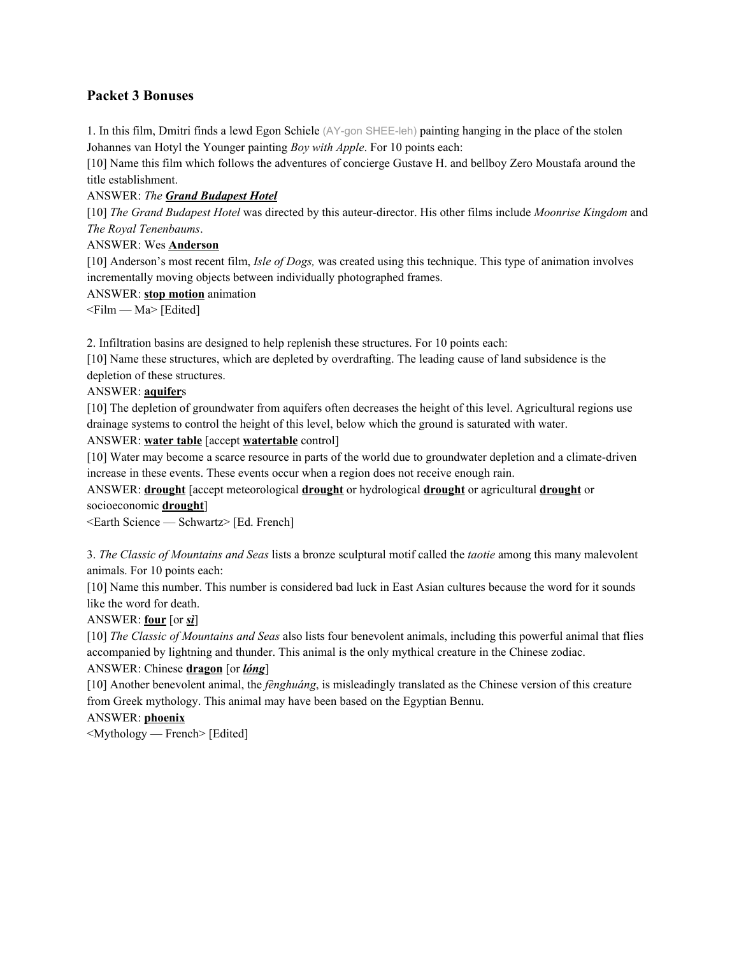# **Packet 3 Bonuses**

1. In this film, Dmitri finds a lewd Egon Schiele (AY-gon SHEE-leh) painting hanging in the place of the stolen Johannes van Hotyl the Younger painting *Boy with Apple*. For 10 points each:

[10] Name this film which follows the adventures of concierge Gustave H. and bellboy Zero Moustafa around the title establishment.

#### ANSWER: *The Grand Budapest Hotel*

[10] *The Grand Budapest Hotel* was directed by this auteur-director. His other films include *Moonrise Kingdom* and *The Royal Tenenbaums*.

#### ANSWER: Wes **Anderson**

[10] Anderson's most recent film, *Isle of Dogs,* was created using this technique. This type of animation involves incrementally moving objects between individually photographed frames.

#### ANSWER: **stop motion** animation

 $\leq$ Film — Ma $>$ [Edited]

2. Infiltration basins are designed to help replenish these structures. For 10 points each:

[10] Name these structures, which are depleted by overdrafting. The leading cause of land subsidence is the depletion of these structures.

#### ANSWER: **aquifer**s

[10] The depletion of groundwater from aquifers often decreases the height of this level. Agricultural regions use drainage systems to control the height of this level, below which the ground is saturated with water.

ANSWER: **water table** [accept **watertable** control]

[10] Water may become a scarce resource in parts of the world due to groundwater depletion and a climate-driven increase in these events. These events occur when a region does not receive enough rain.

ANSWER: **drought** [accept meteorological **drought** or hydrological **drought** or agricultural **drought** or socioeconomic **drought**]

<Earth Science — Schwartz> [Ed. French]

3. *The Classic of Mountains and Seas* lists a bronze sculptural motif called the *taotie* among this many malevolent animals. For 10 points each:

[10] Name this number. This number is considered bad luck in East Asian cultures because the word for it sounds like the word for death.

## ANSWER: **four** [or *sì*]

[10] *The Classic of Mountains and Seas* also lists four benevolent animals, including this powerful animal that flies accompanied by lightning and thunder. This animal is the only mythical creature in the Chinese zodiac.

## ANSWER: Chinese **dragon** [or *lóng*]

[10] Another benevolent animal, the *fènghuáng*, is misleadingly translated as the Chinese version of this creature from Greek mythology. This animal may have been based on the Egyptian Bennu.

## ANSWER: **phoenix**

<Mythology — French> [Edited]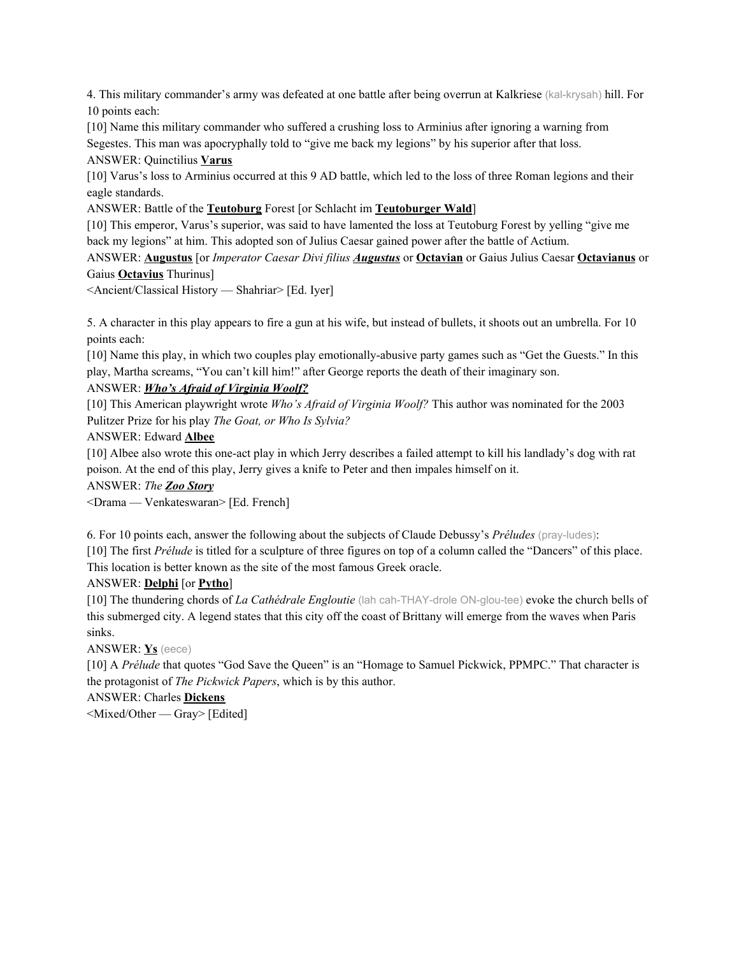4. This military commander's army was defeated at one battle after being overrun at Kalkriese (kal-krysah) hill. For 10 points each:

[10] Name this military commander who suffered a crushing loss to Arminius after ignoring a warning from Segestes. This man was apocryphally told to "give me back my legions" by his superior after that loss.

ANSWER: Quinctilius **Varus**

[10] Varus's loss to Arminius occurred at this 9 AD battle, which led to the loss of three Roman legions and their eagle standards.

ANSWER: Battle of the **Teutoburg** Forest [or Schlacht im **Teutoburger Wald**]

[10] This emperor, Varus's superior, was said to have lamented the loss at Teutoburg Forest by yelling "give me back my legions" at him. This adopted son of Julius Caesar gained power after the battle of Actium.

ANSWER: **Augustus** [or *Imperator Caesar Divi filius Augustus* or **Octavian** or Gaius Julius Caesar **Octavianus** or Gaius **Octavius** Thurinus]

<Ancient/Classical History — Shahriar> [Ed. Iyer]

5. A character in this play appears to fire a gun at his wife, but instead of bullets, it shoots out an umbrella. For 10 points each:

[10] Name this play, in which two couples play emotionally-abusive party games such as "Get the Guests." In this play, Martha screams, "You can't kill him!" after George reports the death of their imaginary son.

# ANSWER: *Who's Afraid of Virginia Woolf?*

[10] This American playwright wrote *Who's Afraid of Virginia Woolf?* This author was nominated for the 2003 Pulitzer Prize for his play *The Goat, or Who Is Sylvia?*

ANSWER: Edward **Albee**

[10] Albee also wrote this one-act play in which Jerry describes a failed attempt to kill his landlady's dog with rat poison. At the end of this play, Jerry gives a knife to Peter and then impales himself on it.

ANSWER: *The Zoo Story*

<Drama — Venkateswaran> [Ed. French]

6. For 10 points each, answer the following about the subjects of Claude Debussy's *Préludes* (pray-ludes):

[10] The first *Prélude* is titled for a sculpture of three figures on top of a column called the "Dancers" of this place. This location is better known as the site of the most famous Greek oracle.

## ANSWER: **Delphi** [or **Pytho**]

[10] The thundering chords of *La Cathédrale Engloutie* (lah cah-THAY-drole ON-glou-tee) evoke the church bells of this submerged city. A legend states that this city off the coast of Brittany will emerge from the waves when Paris sinks.

ANSWER: **Ys** (eece)

[10] A *Prélude* that quotes "God Save the Queen" is an "Homage to Samuel Pickwick, PPMPC." That character is the protagonist of *The Pickwick Papers*, which is by this author.

ANSWER: Charles **Dickens**

<Mixed/Other — Gray> [Edited]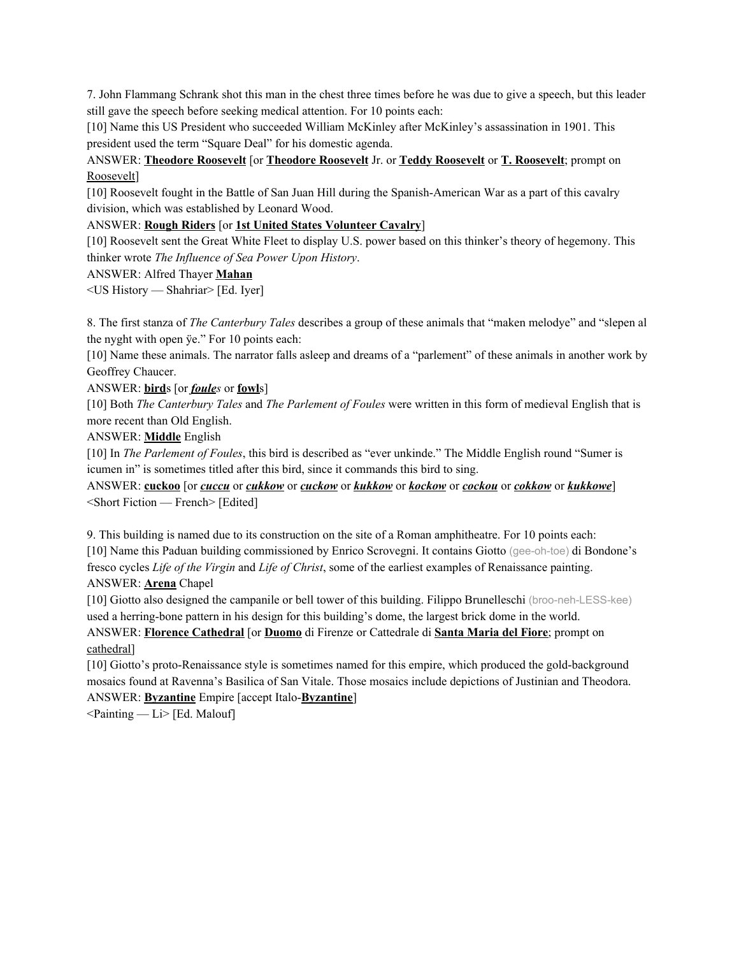7. John Flammang Schrank shot this man in the chest three times before he was due to give a speech, but this leader still gave the speech before seeking medical attention. For 10 points each:

[10] Name this US President who succeeded William McKinley after McKinley's assassination in 1901. This president used the term "Square Deal" for his domestic agenda.

ANSWER: **Theodore Roosevelt** [or **Theodore Roosevelt** Jr. or **Teddy Roosevelt** or **T. Roosevelt**; prompt on Roosevelt]

[10] Roosevelt fought in the Battle of San Juan Hill during the Spanish-American War as a part of this cavalry division, which was established by Leonard Wood.

ANSWER: **Rough Riders** [or **1st United States Volunteer Cavalry**]

[10] Roosevelt sent the Great White Fleet to display U.S. power based on this thinker's theory of hegemony. This thinker wrote *The Influence of Sea Power Upon History*.

ANSWER: Alfred Thayer **Mahan**

<US History — Shahriar> [Ed. Iyer]

8. The first stanza of *The Canterbury Tales* describes a group of these animals that "maken melodye" and "slepen al the nyght with open ÿe." For 10 points each:

[10] Name these animals. The narrator falls asleep and dreams of a "parlement" of these animals in another work by Geoffrey Chaucer.

ANSWER: **bird**s [or *foules* or **fowl**s]

[10] Both *The Canterbury Tales* and *The Parlement of Foules* were written in this form of medieval English that is more recent than Old English.

ANSWER: **Middle** English

[10] In *The Parlement of Foules*, this bird is described as "ever unkinde." The Middle English round "Sumer is icumen in" is sometimes titled after this bird, since it commands this bird to sing.

ANSWER: **cuckoo** [or *cuccu* or *cukkow* or *cuckow* or *kukkow* or *kockow* or *cockou* or *cokkow* or *kukkowe*] <Short Fiction — French> [Edited]

9. This building is named due to its construction on the site of a Roman amphitheatre. For 10 points each: [10] Name this Paduan building commissioned by Enrico Scrovegni. It contains Giotto (gee-oh-toe) di Bondone's fresco cycles *Life of the Virgin* and *Life of Christ*, some of the earliest examples of Renaissance painting. ANSWER: **Arena** Chapel

[10] Giotto also designed the campanile or bell tower of this building. Filippo Brunelleschi (broo-neh-LESS-kee) used a herring-bone pattern in his design for this building's dome, the largest brick dome in the world.

ANSWER: **Florence Cathedral** [or **Duomo** di Firenze or Cattedrale di **Santa Maria del Fiore**; prompt on cathedral]

[10] Giotto's proto-Renaissance style is sometimes named for this empire, which produced the gold-background mosaics found at Ravenna's Basilica of San Vitale. Those mosaics include depictions of Justinian and Theodora. ANSWER: **Byzantine** Empire [accept Italo-**Byzantine**]

 $\leq$ Painting — Li $>$  [Ed. Malouf]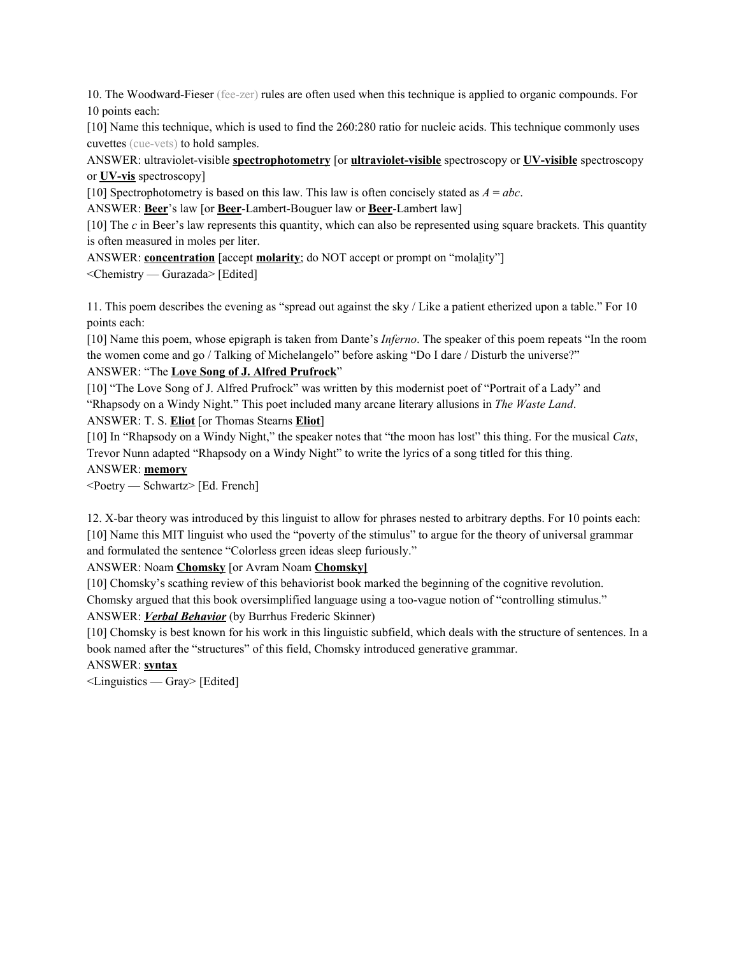10. The Woodward-Fieser (fee-zer) rules are often used when this technique is applied to organic compounds. For 10 points each:

[10] Name this technique, which is used to find the 260:280 ratio for nucleic acids. This technique commonly uses cuvettes (cue-vets) to hold samples.

ANSWER: ultraviolet-visible **spectrophotometry** [or **ultraviolet-visible** spectroscopy or **UV-visible** spectroscopy or **UV-vis** spectroscopy]

[10] Spectrophotometry is based on this law. This law is often concisely stated as  $A = abc$ .

ANSWER: **Beer**'s law [or **Beer**-Lambert-Bouguer law or **Beer**-Lambert law]

[10] The *c* in Beer's law represents this quantity, which can also be represented using square brackets. This quantity is often measured in moles per liter.

ANSWER: **concentration** [accept **molarity**; do NOT accept or prompt on "molality"]

<Chemistry — Gurazada> [Edited]

11. This poem describes the evening as "spread out against the sky / Like a patient etherized upon a table." For 10 points each:

[10] Name this poem, whose epigraph is taken from Dante's *Inferno*. The speaker of this poem repeats "In the room the women come and go / Talking of Michelangelo" before asking "Do I dare / Disturb the universe?"

#### ANSWER: "The **Love Song of J. Alfred Prufrock**"

[10] "The Love Song of J. Alfred Prufrock" was written by this modernist poet of "Portrait of a Lady" and "Rhapsody on a Windy Night." This poet included many arcane literary allusions in *The Waste Land*.

ANSWER: T. S. **Eliot** [or Thomas Stearns **Eliot**]

[10] In "Rhapsody on a Windy Night," the speaker notes that "the moon has lost" this thing. For the musical *Cats*, Trevor Nunn adapted "Rhapsody on a Windy Night" to write the lyrics of a song titled for this thing.

#### ANSWER: **memory**

<Poetry — Schwartz> [Ed. French]

12. X-bar theory was introduced by this linguist to allow for phrases nested to arbitrary depths. For 10 points each: [10] Name this MIT linguist who used the "poverty of the stimulus" to argue for the theory of universal grammar and formulated the sentence "Colorless green ideas sleep furiously."

ANSWER: Noam **Chomsky** [or Avram Noam **Chomsky]**

[10] Chomsky's scathing review of this behaviorist book marked the beginning of the cognitive revolution.

Chomsky argued that this book oversimplified language using a too-vague notion of "controlling stimulus."

ANSWER: *Verbal Behavior* (by Burrhus Frederic Skinner)

[10] Chomsky is best known for his work in this linguistic subfield, which deals with the structure of sentences. In a book named after the "structures" of this field, Chomsky introduced generative grammar.

ANSWER: **syntax**

<Linguistics — Gray> [Edited]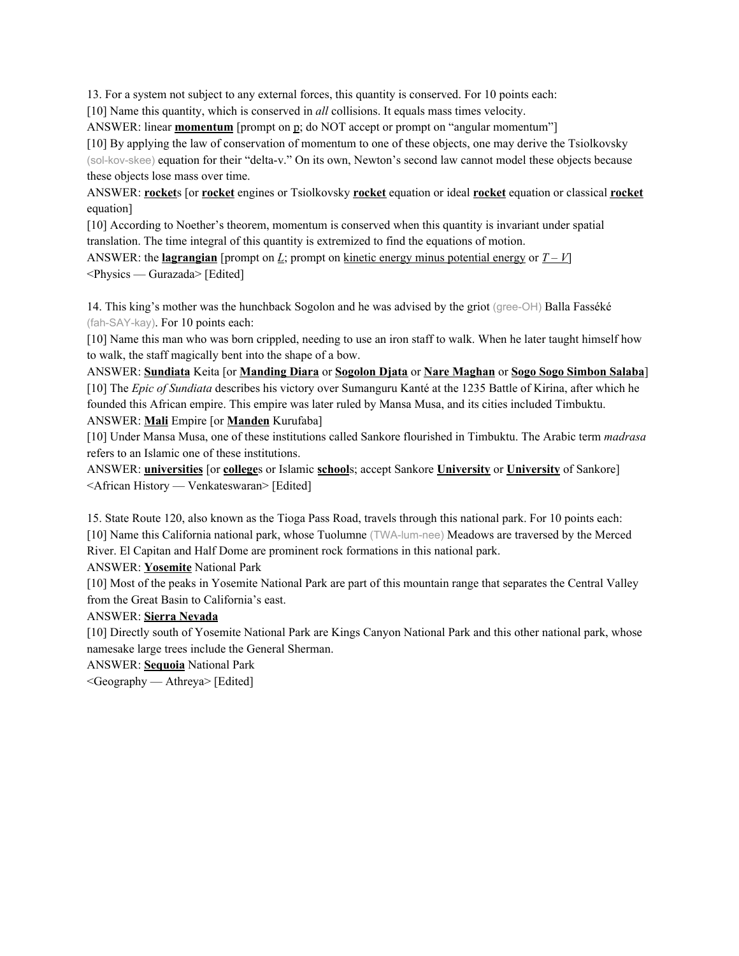13. For a system not subject to any external forces, this quantity is conserved. For 10 points each:

[10] Name this quantity, which is conserved in *all* collisions. It equals mass times velocity.

ANSWER: linear **momentum** [prompt on p; do NOT accept or prompt on "angular momentum"]

[10] By applying the law of conservation of momentum to one of these objects, one may derive the Tsiolkovsky (sol-kov-skee) equation for their "delta-v." On its own, Newton's second law cannot model these objects because these objects lose mass over time.

ANSWER: **rocket**s [or **rocket** engines or Tsiolkovsky **rocket** equation or ideal **rocket** equation or classical **rocket** equation]

[10] According to Noether's theorem, momentum is conserved when this quantity is invariant under spatial translation. The time integral of this quantity is extremized to find the equations of motion.

ANSWER: the **<u>lagrangian</u>** [prompt on *L*; prompt on kinetic energy minus potential energy or  $T - V$ ] <Physics — Gurazada> [Edited]

14. This king's mother was the hunchback Sogolon and he was advised by the griot (gree-OH) Balla Fasséké (fah-SAY-kay). For 10 points each:

[10] Name this man who was born crippled, needing to use an iron staff to walk. When he later taught himself how to walk, the staff magically bent into the shape of a bow.

ANSWER: **Sundiata** Keita [or **Manding Diara** or **Sogolon Djata** or **Nare Maghan** or **Sogo Sogo Simbon Salaba**] [10] The *Epic of Sundiata* describes his victory over Sumanguru Kanté at the 1235 Battle of Kirina, after which he founded this African empire. This empire was later ruled by Mansa Musa, and its cities included Timbuktu. ANSWER: **Mali** Empire [or **Manden** Kurufaba]

[10] Under Mansa Musa, one of these institutions called Sankore flourished in Timbuktu. The Arabic term *madrasa* refers to an Islamic one of these institutions.

ANSWER: **universities** [or **college**s or Islamic **school**s; accept Sankore **University** or **University** of Sankore] <African History — Venkateswaran> [Edited]

15. State Route 120, also known as the Tioga Pass Road, travels through this national park. For 10 points each: [10] Name this California national park, whose Tuolumne (TWA-lum-nee) Meadows are traversed by the Merced River. El Capitan and Half Dome are prominent rock formations in this national park.

ANSWER: **Yosemite** National Park

[10] Most of the peaks in Yosemite National Park are part of this mountain range that separates the Central Valley from the Great Basin to California's east.

## ANSWER: **Sierra Nevada**

[10] Directly south of Yosemite National Park are Kings Canyon National Park and this other national park, whose namesake large trees include the General Sherman.

ANSWER: **Sequoia** National Park

<Geography — Athreya> [Edited]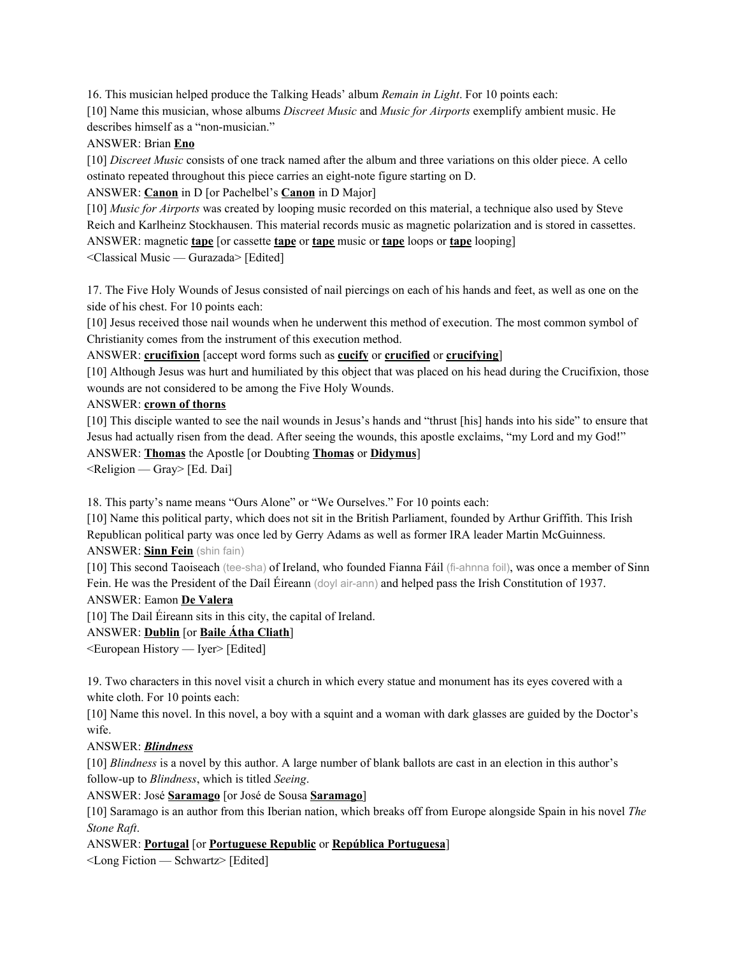16. This musician helped produce the Talking Heads' album *Remain in Light*. For 10 points each: [10] Name this musician, whose albums *Discreet Music* and *Music for Airports* exemplify ambient music. He describes himself as a "non-musician."

## ANSWER: Brian **Eno**

[10] *Discreet Music* consists of one track named after the album and three variations on this older piece. A cello ostinato repeated throughout this piece carries an eight-note figure starting on D.

ANSWER: **Canon** in D [or Pachelbel's **Canon** in D Major]

[10] *Music for Airports* was created by looping music recorded on this material, a technique also used by Steve Reich and Karlheinz Stockhausen. This material records music as magnetic polarization and is stored in cassettes. ANSWER: magnetic **tape** [or cassette **tape** or **tape** music or **tape** loops or **tape** looping]

<Classical Music — Gurazada> [Edited]

17. The Five Holy Wounds of Jesus consisted of nail piercings on each of his hands and feet, as well as one on the side of his chest. For 10 points each:

[10] Jesus received those nail wounds when he underwent this method of execution. The most common symbol of Christianity comes from the instrument of this execution method.

ANSWER: **crucifixion** [accept word forms such as **cucify** or **crucified** or **crucifying**]

[10] Although Jesus was hurt and humiliated by this object that was placed on his head during the Crucifixion, those wounds are not considered to be among the Five Holy Wounds.

## ANSWER: **crown of thorns**

[10] This disciple wanted to see the nail wounds in Jesus's hands and "thrust [his] hands into his side" to ensure that Jesus had actually risen from the dead. After seeing the wounds, this apostle exclaims, "my Lord and my God!" ANSWER: **Thomas** the Apostle [or Doubting **Thomas** or **Didymus**]

 $\leq$ Religion — Gray $\geq$  [Ed. Dai]

18. This party's name means "Ours Alone" or "We Ourselves." For 10 points each:

[10] Name this political party, which does not sit in the British Parliament, founded by Arthur Griffith. This Irish Republican political party was once led by Gerry Adams as well as former IRA leader Martin McGuinness. ANSWER: **Sinn Fein** (shin fain)

[10] This second Taoiseach (tee-sha) of Ireland, who founded Fianna Fáil (fi-ahnna foil), was once a member of Sinn Fein. He was the President of the Daíl Éireann (doyl air-ann) and helped pass the Irish Constitution of 1937.

ANSWER: Eamon **De Valera**

[10] The Dail Éireann sits in this city, the capital of Ireland.

ANSWER: **Dublin** [or **Baile Átha Cliath**]

<European History — Iyer> [Edited]

19. Two characters in this novel visit a church in which every statue and monument has its eyes covered with a white cloth. For 10 points each:

[10] Name this novel. In this novel, a boy with a squint and a woman with dark glasses are guided by the Doctor's wife.

# ANSWER: *Blindness*

[10] *Blindness* is a novel by this author. A large number of blank ballots are cast in an election in this author's follow-up to *Blindness*, which is titled *Seeing*.

ANSWER: José **Saramago** [or José de Sousa **Saramago**]

[10] Saramago is an author from this Iberian nation, which breaks off from Europe alongside Spain in his novel *The Stone Raft*.

ANSWER: **Portugal** [or **Portuguese Republic** or **República Portuguesa**]

<Long Fiction — Schwartz> [Edited]